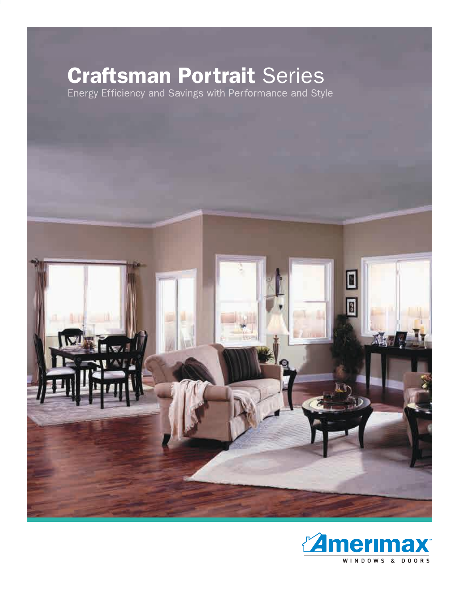# **Craftsman Portrait** Series



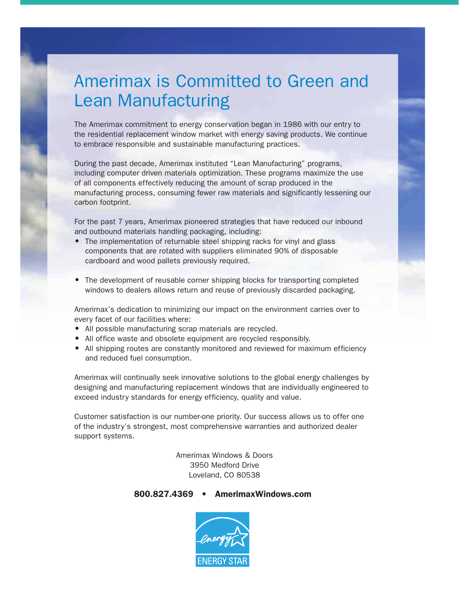### Amerimax is Committed to Green and Lean Manufacturing

The Amerimax commitment to energy conservation began in 1986 with our entry to the residential replacement window market with energy saving products. We continue to embrace responsible and sustainable manufacturing practices.

During the past decade, Amerimax instituted "Lean Manufacturing" programs, including computer driven materials optimization. These programs maximize the use of all components effectively reducing the amount of scrap produced in the manufacturing process, consuming fewer raw materials and significantly lessening our carbon footprint.

For the past 7 years, Amerimax pioneered strategies that have reduced our inbound and outbound materials handling packaging, including:

- The implementation of returnable steel shipping racks for vinyl and glass components that are rotated with suppliers eliminated 90% of disposable cardboard and wood pallets previously required.
- The development of reusable corner shipping blocks for transporting completed windows to dealers allows return and reuse of previously discarded packaging.

Amerimax's dedication to minimizing our impact on the environment carries over to every facet of our facilities where:

- All possible manufacturing scrap materials are recycled.
- All office waste and obsolete equipment are recycled responsibly.
- All shipping routes are constantly monitored and reviewed for maximum efficiency and reduced fuel consumption.

Amerimax will continually seek innovative solutions to the global energy challenges by designing and manufacturing replacement windows that are individually engineered to exceed industry standards for energy efficiency, quality and value.

Customer satisfaction is our number-one priority. Our success allows us to offer one of the industry's strongest, most comprehensive warranties and authorized dealer support systems.

> Amerimax Windows & Doors 3950 Medford Drive Loveland, CO 80538

#### 800.827.4369 • AmerimaxWindows.com

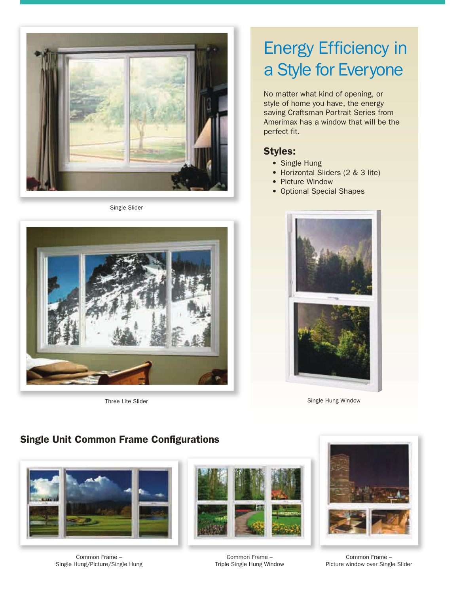

Single Slider



## Energy Efficiency in a Style for Everyone

No matter what kind of opening, or style of home you have, the energy saving Craftsman Portrait Series from Amerimax has a window that will be the perfect fit.

### Styles:

- Single Hung
- Horizontal Sliders (2 & 3 lite)
- Picture Window
- Optional Special Shapes



Three Lite Slider School Communication of the Single Hung Window

### Single Unit Common Frame Configurations



Common Frame – Single Hung/Picture/Single Hung



Common Frame – Triple Single Hung Window



Common Frame – Picture window over Single Slider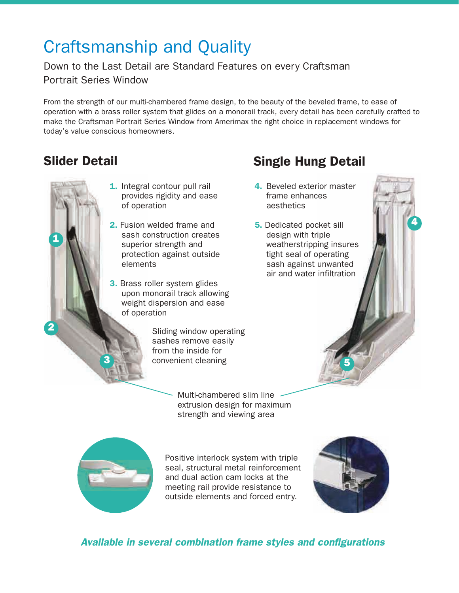### Craftsmanship and Quality

### Down to the Last Detail are Standard Features on every Craftsman Portrait Series Window

From the strength of our multi-chambered frame design, to the beauty of the beveled frame, to ease of operation with a brass roller system that glides on a monorail track, every detail has been carefully crafted to make the Craftsman Portrait Series Window from Amerimax the right choice in replacement windows for today's value conscious homeowners.

1

2

- 1. Integral contour pull rail provides rigidity and ease of operation
- 2. Fusion welded frame and sash construction creates superior strength and protection against outside elements
- **3.** Brass roller system glides upon monorail track allowing weight dispersion and ease of operation

Sliding window operating sashes remove easily from the inside for convenient cleaning

> Multi-chambered slim line extrusion design for maximum strength and viewing area



3

Positive interlock system with triple seal, structural metal reinforcement and dual action cam locks at the meeting rail provide resistance to outside elements and forced entry.



5



### Slider Detail Single Hung Detail

- 4. Beveled exterior master frame enhances aesthetics
- **5.** Dedicated pocket sill design with triple weatherstripping insures tight seal of operating sash against unwanted air and water infiltration

4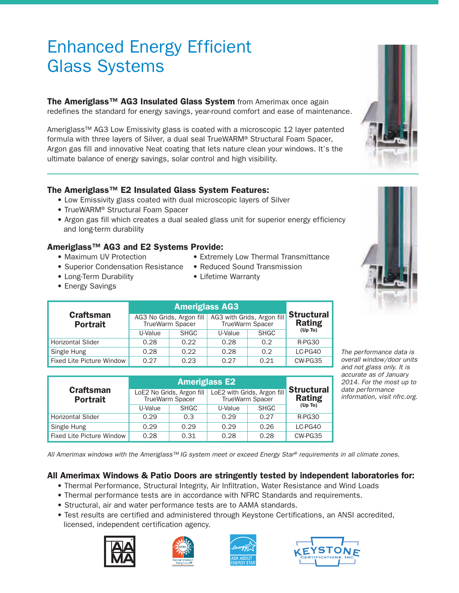### Enhanced Energy Efficient Glass Systems

The Ameriglass<sup>™</sup> AG3 Insulated Glass System from Amerimax once again redefines the standard for energy savings, year-round comfort and ease of maintenance.

Ameriglass™ AG3 Low Emissivity glass is coated with a microscopic 12 layer patented formula with three layers of Silver, a dual seal TrueWARM® Structural Foam Spacer, Argon gas fill and innovative Neat coating that lets nature clean your windows. It's the ultimate balance of energy savings, solar control and high visibility.

#### The Ameriglass™ E2 Insulated Glass System Features:

- Low Emissivity glass coated with dual microscopic layers of Silver
- TrueWARM® Structural Foam Spacer
- Argon gas fill which creates a dual sealed glass unit for superior energy efficiency and long-term durability

#### Ameriglass™ AG3 and E2 Systems Provide:

- 
- Maximum UV Protection Extremely Low Thermal Transmittance
- Superior Condensation Resistance Reduced Sound Transmission
- Long-Term Durability Lifetime Warranty
- 

• Energy Savings

| <b>Craftsman</b><br><b>Portrait</b> |                                             |             |                                               |             |                                    |
|-------------------------------------|---------------------------------------------|-------------|-----------------------------------------------|-------------|------------------------------------|
|                                     | AG3 No Grids, Argon fill<br>TrueWarm Spacer |             | AG3 with Grids, Argon fill<br>TrueWarm Spacer |             | <b>Structural</b><br><b>Rating</b> |
|                                     | U-Value                                     | <b>SHGC</b> | U-Value                                       | <b>SHGC</b> | (Up To)                            |
| <b>Horizontal Slider</b>            | 0.28                                        | 0.22        | 0.28                                          | 0.2         | R-PG30                             |
| Single Hung                         | 0.28                                        | 0.22        | 0.28                                          | 0.2         | LC-PG40                            |
| Fixed Lite Picture Window           | 0.27                                        | 0.23        | 0.27                                          | 0.21        | CW-PG35                            |

| <b>Craftsman</b><br><b>Portrait</b> | LoE2 No Grids, Argon fill<br>TrueWarm Spacer |             | LoE2 with Grids, Argon fill<br>TrueWarm Spacer |             | <b>Structural</b><br><b>Rating</b> |
|-------------------------------------|----------------------------------------------|-------------|------------------------------------------------|-------------|------------------------------------|
|                                     | U-Value                                      | <b>SHGC</b> | U-Value                                        | <b>SHGC</b> | (Up To)                            |
| <b>Horizontal Slider</b>            | 0.29                                         | 0.3         | 0.29                                           | 0.27        | R-PG30                             |
| Single Hung                         | 0.29                                         | 0.29        | 0.29                                           | 0.26        | LC-PG40                            |
| <b>Fixed Lite Picture Window</b>    | 0.28                                         | 0.31        | 0.28                                           | 0.28        | CW-PG35                            |

*The performance data is overall window/door units and not glass only. It is accurate as of January 2014. For the most up to date performance information, visit nfrc.org.*

*All Amerimax windows with the Ameriglass™ IG system meet or exceed Energy Star® requirements in all climate zones.*

### All Amerimax Windows & Patio Doors are stringently tested by independent laboratories for:

- Thermal Performance, Structural Integrity, Air Infiltration, Water Resistance and Wind Loads
- Thermal performance tests are in accordance with NFRC Standards and requirements.
- Structural, air and water performance tests are to AAMA standards.
- Test results are certified and administered through Keystone Certifications, an ANSI accredited, licensed, independent certification agency.